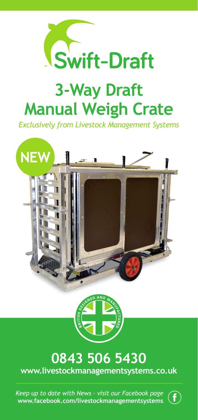

# **3-Way Draft Manual Weigh Crate**

*Exclusively from Livestock Management Systems*





### **0843 506 5430 www.livestockmanagementsystems.co.uk**

*Keep up to date with News – visit our Facebook page* **www.facebook.com/livestockmanagementsystems**

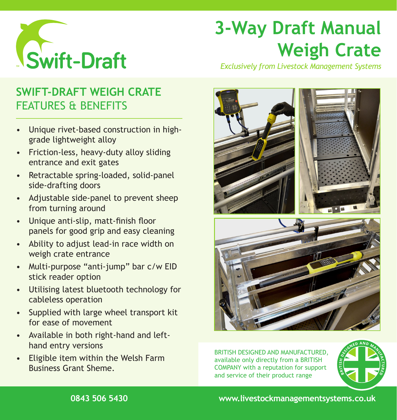

# **3-Way Draft Manual Weigh Crate**

## **SWIFT-DRAFT WEIGH CRATE** FEATURES & BENEFITS

- Unique rivet-based construction in highgrade lightweight alloy
- Friction-less, heavy-duty alloy sliding entrance and exit gates
- Retractable spring-loaded, solid-panel side-drafting doors
- Adjustable side-panel to prevent sheep from turning around
- Unique anti-slip, matt-finish floor panels for good grip and easy cleaning
- Ability to adjust lead-in race width on weigh crate entrance
- Multi-purpose "anti-jump" bar c/w EID stick reader option
- Utilising latest bluetooth technology for cableless operation
- Supplied with large wheel transport kit for ease of movement
- Available in both right-hand and lefthand entry versions
- Eligible item within the Welsh Farm Business Grant Sheme.

*Exclusively from Livestock Management Systems*



BRITISH DESIGNED AND MANUFACTURED, available only directly from a BRITISH COMPANY with a reputation for support and service of their product range



**0843 506 5430 www.livestockmanagementsystems.co.uk**